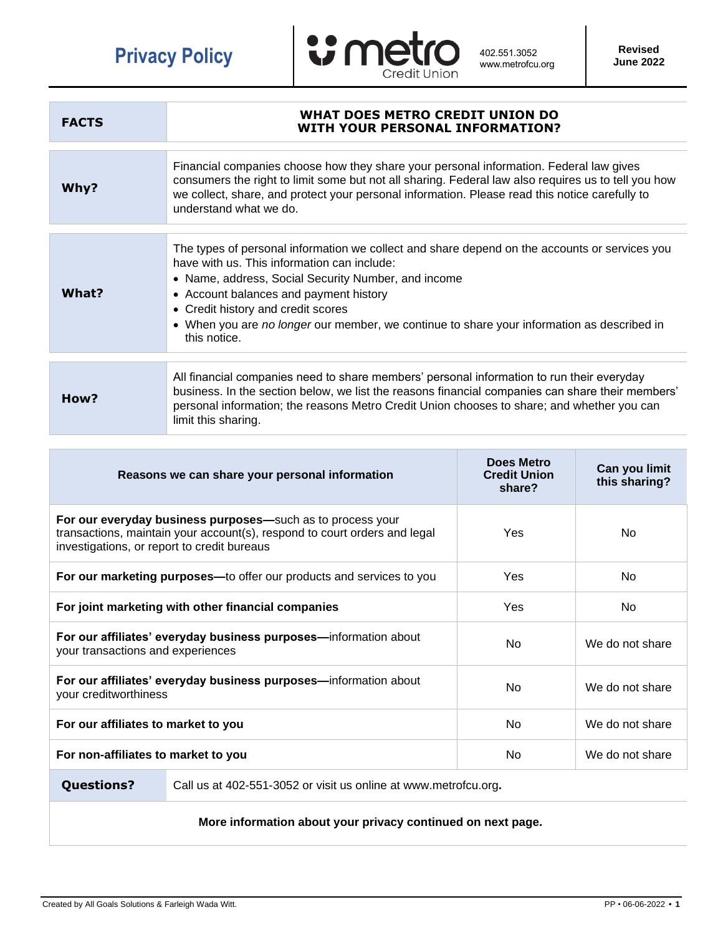

www.metrofcu.org

| <b>FACTS</b> | WHAT DOES METRO CREDIT UNION DO<br><b>WITH YOUR PERSONAL INFORMATION?</b>                                                                                                                                                                                                                                                                                                                         |
|--------------|---------------------------------------------------------------------------------------------------------------------------------------------------------------------------------------------------------------------------------------------------------------------------------------------------------------------------------------------------------------------------------------------------|
| Why?         | Financial companies choose how they share your personal information. Federal law gives<br>consumers the right to limit some but not all sharing. Federal law also requires us to tell you how<br>we collect, share, and protect your personal information. Please read this notice carefully to<br>understand what we do.                                                                         |
| What?        | The types of personal information we collect and share depend on the accounts or services you<br>have with us. This information can include:<br>• Name, address, Social Security Number, and income<br>• Account balances and payment history<br>• Credit history and credit scores<br>• When you are no longer our member, we continue to share your information as described in<br>this notice. |
| How?         | All financial companies need to share members' personal information to run their everyday<br>business. In the section below, we list the reasons financial companies can share their members'<br>personal information; the reasons Metro Credit Union chooses to share; and whether you can<br>limit this sharing.                                                                                |

| Reasons we can share your personal information                                                                                                                                         | Does Metro<br><b>Credit Union</b><br>share? | Can you limit<br>this sharing? |
|----------------------------------------------------------------------------------------------------------------------------------------------------------------------------------------|---------------------------------------------|--------------------------------|
| For our everyday business purposes-such as to process your<br>transactions, maintain your account(s), respond to court orders and legal<br>investigations, or report to credit bureaus | Yes                                         | No.                            |
| For our marketing purposes—to offer our products and services to you                                                                                                                   | Yes                                         | No.                            |
| For joint marketing with other financial companies                                                                                                                                     | Yes                                         | No.                            |
| For our affiliates' everyday business purposes—information about<br>your transactions and experiences                                                                                  | No                                          | We do not share                |
| For our affiliates' everyday business purposes—information about<br>your creditworthiness                                                                                              | No                                          | We do not share                |
| For our affiliates to market to you                                                                                                                                                    | No.                                         | We do not share                |
| For non-affiliates to market to you                                                                                                                                                    | No                                          | We do not share                |
|                                                                                                                                                                                        |                                             |                                |

**Questions?** Call us at 402-551-3052 or visit us online at www.metrofcu.org**.**

## **More information about your privacy continued on next page.**